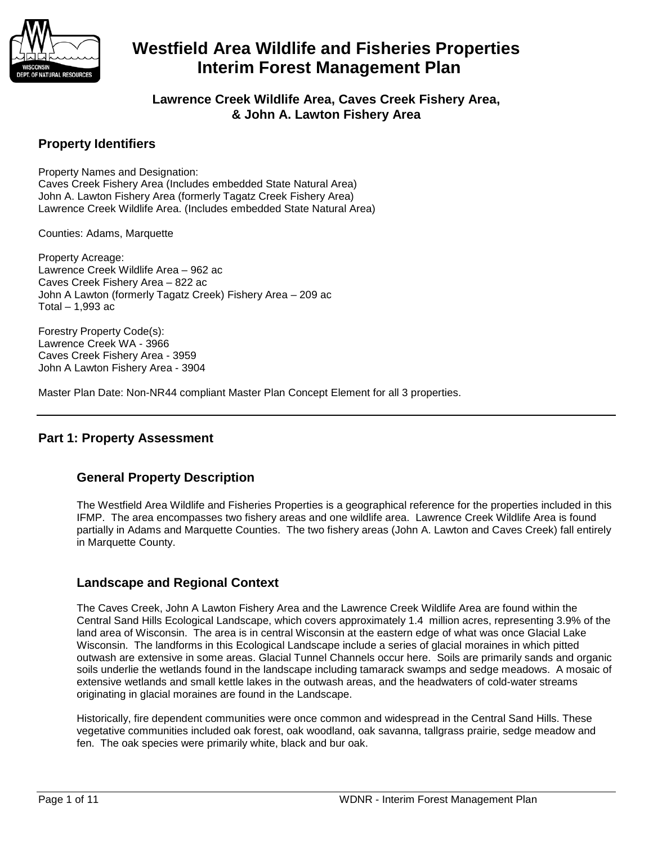

**Lawrence Creek Wildlife Area, Caves Creek Fishery Area, & John A. Lawton Fishery Area**

## **Property Identifiers**

Property Names and Designation: Caves Creek Fishery Area (Includes embedded State Natural Area) John A. Lawton Fishery Area (formerly Tagatz Creek Fishery Area) Lawrence Creek Wildlife Area. (Includes embedded State Natural Area)

Counties: Adams, Marquette

Property Acreage: Lawrence Creek Wildlife Area – 962 ac Caves Creek Fishery Area – 822 ac John A Lawton (formerly Tagatz Creek) Fishery Area – 209 ac Total  $-1,993$  ac

Forestry Property Code(s): Lawrence Creek WA - 3966 Caves Creek Fishery Area - 3959 John A Lawton Fishery Area - 3904

Master Plan Date: Non-NR44 compliant Master Plan Concept Element for all 3 properties.

### **Part 1: Property Assessment**

## **General Property Description**

The Westfield Area Wildlife and Fisheries Properties is a geographical reference for the properties included in this IFMP. The area encompasses two fishery areas and one wildlife area. Lawrence Creek Wildlife Area is found partially in Adams and Marquette Counties. The two fishery areas (John A. Lawton and Caves Creek) fall entirely in Marquette County.

## **Landscape and Regional Context**

The Caves Creek, John A Lawton Fishery Area and the Lawrence Creek Wildlife Area are found within the Central Sand Hills Ecological Landscape, which covers approximately 1.4 million acres, representing 3.9% of the land area of Wisconsin. The area is in central Wisconsin at the eastern edge of what was once Glacial Lake Wisconsin. The landforms in this Ecological Landscape include a series of glacial moraines in which pitted outwash are extensive in some areas. Glacial Tunnel Channels occur here. Soils are primarily sands and organic soils underlie the wetlands found in the landscape including tamarack swamps and sedge meadows. A mosaic of extensive wetlands and small kettle lakes in the outwash areas, and the headwaters of cold-water streams originating in glacial moraines are found in the Landscape.

Historically, fire dependent communities were once common and widespread in the Central Sand Hills. These vegetative communities included oak forest, oak woodland, oak savanna, tallgrass prairie, sedge meadow and fen. The oak species were primarily white, black and bur oak.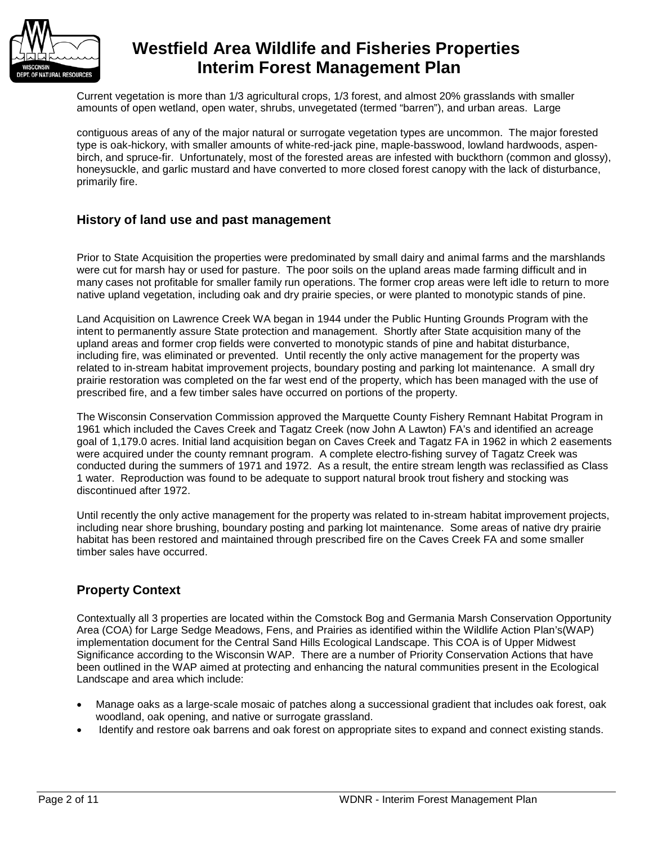

Current vegetation is more than 1/3 agricultural crops, 1/3 forest, and almost 20% grasslands with smaller amounts of open wetland, open water, shrubs, unvegetated (termed "barren"), and urban areas. Large

contiguous areas of any of the major natural or surrogate vegetation types are uncommon. The major forested type is oak-hickory, with smaller amounts of white-red-jack pine, maple-basswood, lowland hardwoods, aspenbirch, and spruce-fir. Unfortunately, most of the forested areas are infested with buckthorn (common and glossy), honeysuckle, and garlic mustard and have converted to more closed forest canopy with the lack of disturbance, primarily fire.

### **History of land use and past management**

Prior to State Acquisition the properties were predominated by small dairy and animal farms and the marshlands were cut for marsh hay or used for pasture. The poor soils on the upland areas made farming difficult and in many cases not profitable for smaller family run operations. The former crop areas were left idle to return to more native upland vegetation, including oak and dry prairie species, or were planted to monotypic stands of pine.

Land Acquisition on Lawrence Creek WA began in 1944 under the Public Hunting Grounds Program with the intent to permanently assure State protection and management. Shortly after State acquisition many of the upland areas and former crop fields were converted to monotypic stands of pine and habitat disturbance, including fire, was eliminated or prevented. Until recently the only active management for the property was related to in-stream habitat improvement projects, boundary posting and parking lot maintenance. A small dry prairie restoration was completed on the far west end of the property, which has been managed with the use of prescribed fire, and a few timber sales have occurred on portions of the property.

The Wisconsin Conservation Commission approved the Marquette County Fishery Remnant Habitat Program in 1961 which included the Caves Creek and Tagatz Creek (now John A Lawton) FA's and identified an acreage goal of 1,179.0 acres. Initial land acquisition began on Caves Creek and Tagatz FA in 1962 in which 2 easements were acquired under the county remnant program. A complete electro-fishing survey of Tagatz Creek was conducted during the summers of 1971 and 1972. As a result, the entire stream length was reclassified as Class 1 water. Reproduction was found to be adequate to support natural brook trout fishery and stocking was discontinued after 1972.

Until recently the only active management for the property was related to in-stream habitat improvement projects, including near shore brushing, boundary posting and parking lot maintenance. Some areas of native dry prairie habitat has been restored and maintained through prescribed fire on the Caves Creek FA and some smaller timber sales have occurred.

## **Property Context**

Contextually all 3 properties are located within the Comstock Bog and Germania Marsh Conservation Opportunity Area (COA) for Large Sedge Meadows, Fens, and Prairies as identified within the Wildlife Action Plan's(WAP) implementation document for the Central Sand Hills Ecological Landscape. This COA is of Upper Midwest Significance according to the Wisconsin WAP. There are a number of Priority Conservation Actions that have been outlined in the WAP aimed at protecting and enhancing the natural communities present in the Ecological Landscape and area which include:

- Manage oaks as a large-scale mosaic of patches along a successional gradient that includes oak forest, oak woodland, oak opening, and native or surrogate grassland.
- Identify and restore oak barrens and oak forest on appropriate sites to expand and connect existing stands.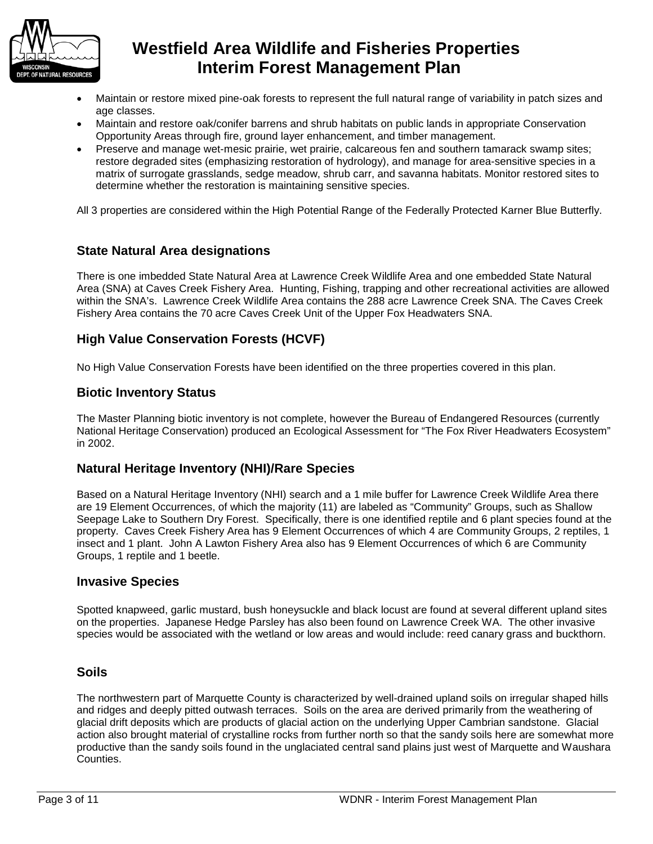

- Maintain or restore mixed pine-oak forests to represent the full natural range of variability in patch sizes and age classes.
- Maintain and restore oak/conifer barrens and shrub habitats on public lands in appropriate Conservation Opportunity Areas through fire, ground layer enhancement, and timber management.
- Preserve and manage wet-mesic prairie, wet prairie, calcareous fen and southern tamarack swamp sites; restore degraded sites (emphasizing restoration of hydrology), and manage for area-sensitive species in a matrix of surrogate grasslands, sedge meadow, shrub carr, and savanna habitats. Monitor restored sites to determine whether the restoration is maintaining sensitive species.

All 3 properties are considered within the High Potential Range of the Federally Protected Karner Blue Butterfly.

## **State Natural Area designations**

There is one imbedded State Natural Area at Lawrence Creek Wildlife Area and one embedded State Natural Area (SNA) at Caves Creek Fishery Area. Hunting, Fishing, trapping and other recreational activities are allowed within the SNA's. Lawrence Creek Wildlife Area contains the 288 acre Lawrence Creek SNA. The Caves Creek Fishery Area contains the 70 acre Caves Creek Unit of the Upper Fox Headwaters SNA.

## **High Value Conservation Forests (HCVF)**

No High Value Conservation Forests have been identified on the three properties covered in this plan.

### **Biotic Inventory Status**

The Master Planning biotic inventory is not complete, however the Bureau of Endangered Resources (currently National Heritage Conservation) produced an Ecological Assessment for "The Fox River Headwaters Ecosystem" in 2002.

## **Natural Heritage Inventory (NHI)/Rare Species**

Based on a Natural Heritage Inventory (NHI) search and a 1 mile buffer for Lawrence Creek Wildlife Area there are 19 Element Occurrences, of which the majority (11) are labeled as "Community" Groups, such as Shallow Seepage Lake to Southern Dry Forest. Specifically, there is one identified reptile and 6 plant species found at the property. Caves Creek Fishery Area has 9 Element Occurrences of which 4 are Community Groups, 2 reptiles, 1 insect and 1 plant. John A Lawton Fishery Area also has 9 Element Occurrences of which 6 are Community Groups, 1 reptile and 1 beetle.

#### **Invasive Species**

Spotted knapweed, garlic mustard, bush honeysuckle and black locust are found at several different upland sites on the properties. Japanese Hedge Parsley has also been found on Lawrence Creek WA. The other invasive species would be associated with the wetland or low areas and would include: reed canary grass and buckthorn.

### **Soils**

The northwestern part of Marquette County is characterized by well-drained upland soils on irregular shaped hills and ridges and deeply pitted outwash terraces. Soils on the area are derived primarily from the weathering of glacial drift deposits which are products of glacial action on the underlying Upper Cambrian sandstone. Glacial action also brought material of crystalline rocks from further north so that the sandy soils here are somewhat more productive than the sandy soils found in the unglaciated central sand plains just west of Marquette and Waushara Counties.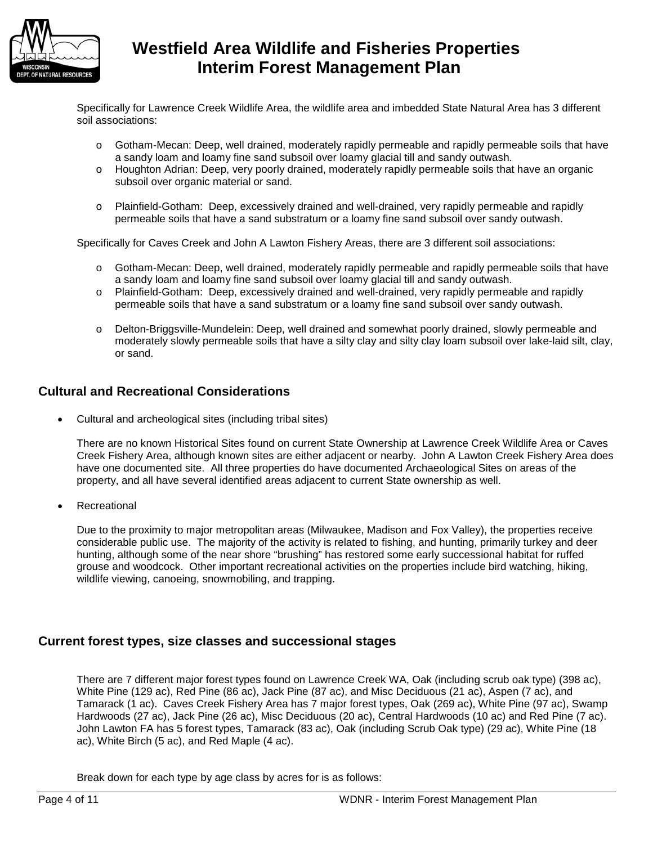

Specifically for Lawrence Creek Wildlife Area, the wildlife area and imbedded State Natural Area has 3 different soil associations:

- o Gotham-Mecan: Deep, well drained, moderately rapidly permeable and rapidly permeable soils that have a sandy loam and loamy fine sand subsoil over loamy glacial till and sandy outwash.
- o Houghton Adrian: Deep, very poorly drained, moderately rapidly permeable soils that have an organic subsoil over organic material or sand.
- o Plainfield-Gotham: Deep, excessively drained and well-drained, very rapidly permeable and rapidly permeable soils that have a sand substratum or a loamy fine sand subsoil over sandy outwash.

Specifically for Caves Creek and John A Lawton Fishery Areas, there are 3 different soil associations:

- o Gotham-Mecan: Deep, well drained, moderately rapidly permeable and rapidly permeable soils that have a sandy loam and loamy fine sand subsoil over loamy glacial till and sandy outwash.
- o Plainfield-Gotham: Deep, excessively drained and well-drained, very rapidly permeable and rapidly permeable soils that have a sand substratum or a loamy fine sand subsoil over sandy outwash.
- o Delton-Briggsville-Mundelein: Deep, well drained and somewhat poorly drained, slowly permeable and moderately slowly permeable soils that have a silty clay and silty clay loam subsoil over lake-laid silt, clay, or sand.

## **Cultural and Recreational Considerations**

• Cultural and archeological sites (including tribal sites)

There are no known Historical Sites found on current State Ownership at Lawrence Creek Wildlife Area or Caves Creek Fishery Area, although known sites are either adjacent or nearby. John A Lawton Creek Fishery Area does have one documented site. All three properties do have documented Archaeological Sites on areas of the property, and all have several identified areas adjacent to current State ownership as well.

**Recreational** 

Due to the proximity to major metropolitan areas (Milwaukee, Madison and Fox Valley), the properties receive considerable public use. The majority of the activity is related to fishing, and hunting, primarily turkey and deer hunting, although some of the near shore "brushing" has restored some early successional habitat for ruffed grouse and woodcock. Other important recreational activities on the properties include bird watching, hiking, wildlife viewing, canoeing, snowmobiling, and trapping.

### **Current forest types, size classes and successional stages**

There are 7 different major forest types found on Lawrence Creek WA, Oak (including scrub oak type) (398 ac), White Pine (129 ac), Red Pine (86 ac), Jack Pine (87 ac), and Misc Deciduous (21 ac), Aspen (7 ac), and Tamarack (1 ac). Caves Creek Fishery Area has 7 major forest types, Oak (269 ac), White Pine (97 ac), Swamp Hardwoods (27 ac), Jack Pine (26 ac), Misc Deciduous (20 ac), Central Hardwoods (10 ac) and Red Pine (7 ac). John Lawton FA has 5 forest types, Tamarack (83 ac), Oak (including Scrub Oak type) (29 ac), White Pine (18 ac), White Birch (5 ac), and Red Maple (4 ac).

Break down for each type by age class by acres for is as follows: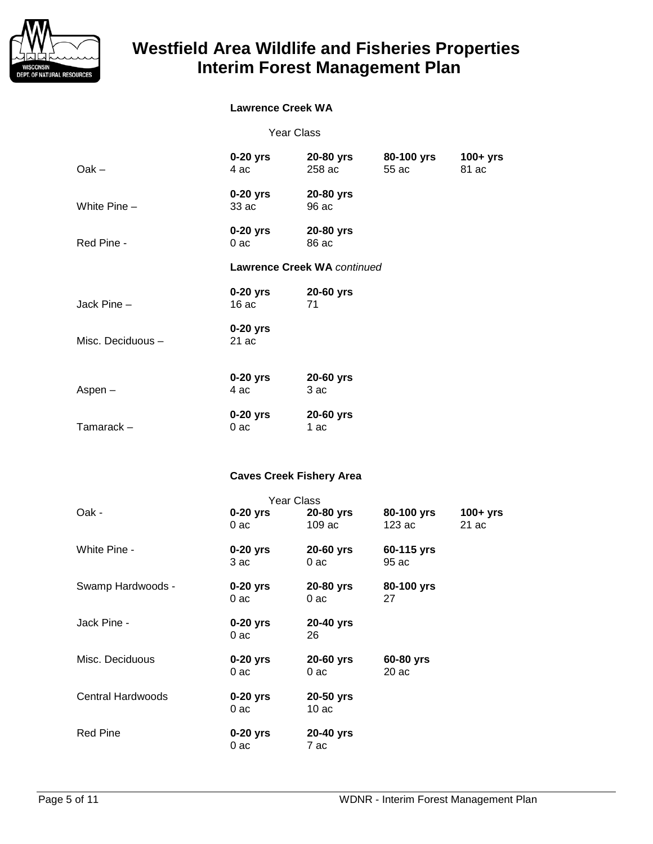

## **Lawrence Creek WA**

| $Oak -$                         | $0-20$ yrs<br>4 ac  | 20-80 yrs<br>258 ac  | 80-100 yrs<br>55 ac  | $100+$ yrs<br>81 ac |
|---------------------------------|---------------------|----------------------|----------------------|---------------------|
| White $Pine -$                  | $0-20$ yrs<br>33 ac | 20-80 yrs<br>96 ac   |                      |                     |
| Red Pine -                      | $0-20$ yrs<br>0ac   | 20-80 yrs<br>86 ac   |                      |                     |
| Lawrence Creek WA continued     |                     |                      |                      |                     |
| Jack Pine -                     | $0-20$ yrs<br>16ac  | 20-60 yrs<br>71      |                      |                     |
| Misc. Deciduous -               | $0-20$ yrs<br>21ac  |                      |                      |                     |
| $Aspen-$                        | 0-20 yrs<br>4 ac    | 20-60 yrs<br>3 ac    |                      |                     |
| Tamarack-                       | $0-20$ yrs<br>0ac   | 20-60 yrs<br>1 ac    |                      |                     |
| <b>Caves Creek Fishery Area</b> |                     |                      |                      |                     |
| <b>Year Class</b>               |                     |                      |                      |                     |
| Oak -                           | $0-20$ yrs<br>0ac   | 20-80 yrs<br>109 ac  | 80-100 yrs<br>123 ac | $100+yrs$<br>21 ac  |
| 1111                            |                     | $\sim$ $\sim$ $\sim$ | 0.0115               |                     |

| White Pine -      | $0-20$ yrs<br>3 ac   | 20-60 yrs<br>$0a$ c | 60-115 yrs<br>95 ac |
|-------------------|----------------------|---------------------|---------------------|
| Swamp Hardwoods - | $0-20$ yrs<br>$0a$ c | 20-80 yrs<br>0 ac   | 80-100 yrs<br>27    |
| Jack Pine -       | $0-20$ yrs<br>0ac    | 20-40 yrs<br>26     |                     |
| Misc. Deciduous   | $0-20$ yrs<br>0ac    | 20-60 yrs<br>0 ac   | 60-80 yrs<br>20ac   |
| Central Hardwoods | $0-20$ yrs<br>0ac    | 20-50 yrs<br>10 ac  |                     |
| <b>Red Pine</b>   | $0-20$ yrs<br>0 ac   | 20-40 yrs<br>7 ac   |                     |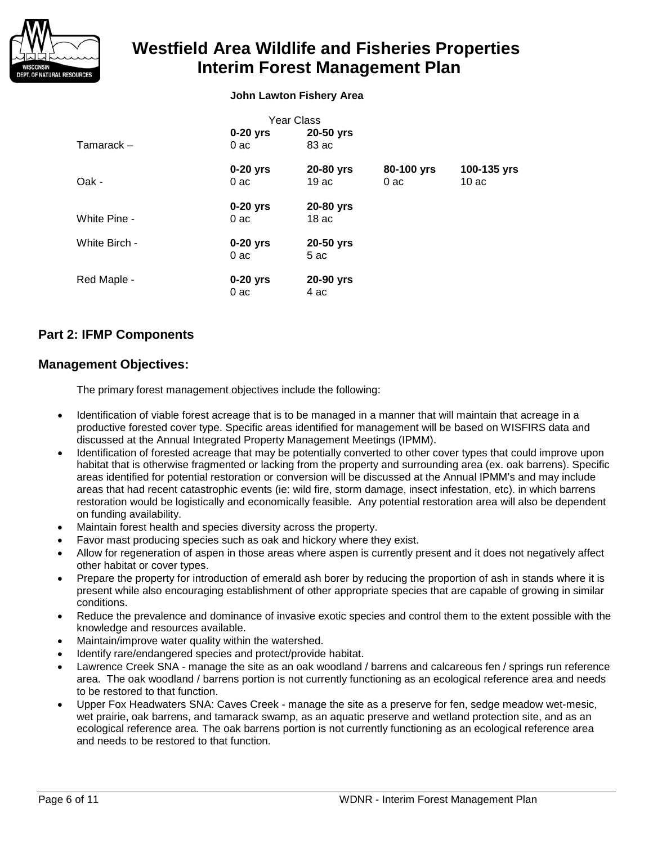

#### **John Lawton Fishery Area**

| <b>Year Class</b> |                   |                   |                   |                     |  |  |
|-------------------|-------------------|-------------------|-------------------|---------------------|--|--|
|                   | $0-20$ yrs        | 20-50 yrs         |                   |                     |  |  |
| Tamarack –        | 0ac               | 83 ac             |                   |                     |  |  |
| Oak -             | $0-20$ yrs<br>0ac | 20-80 yrs<br>19ac | 80-100 yrs<br>0ac | 100-135 yrs<br>10ac |  |  |
|                   | $0-20$ yrs        | 20-80 yrs         |                   |                     |  |  |
| White Pine -      | 0ac               | 18 <sub>ac</sub>  |                   |                     |  |  |
| White Birch -     | $0-20$ yrs<br>0ac | 20-50 yrs<br>5 ac |                   |                     |  |  |
| Red Maple -       | $0-20$ yrs<br>0ac | 20-90 yrs<br>4 ac |                   |                     |  |  |

## **Part 2: IFMP Components**

### **Management Objectives:**

The primary forest management objectives include the following:

- Identification of viable forest acreage that is to be managed in a manner that will maintain that acreage in a productive forested cover type. Specific areas identified for management will be based on WISFIRS data and discussed at the Annual Integrated Property Management Meetings (IPMM).
- Identification of forested acreage that may be potentially converted to other cover types that could improve upon habitat that is otherwise fragmented or lacking from the property and surrounding area (ex. oak barrens). Specific areas identified for potential restoration or conversion will be discussed at the Annual IPMM's and may include areas that had recent catastrophic events (ie: wild fire, storm damage, insect infestation, etc). in which barrens restoration would be logistically and economically feasible. Any potential restoration area will also be dependent on funding availability.
- Maintain forest health and species diversity across the property.
- Favor mast producing species such as oak and hickory where they exist.
- Allow for regeneration of aspen in those areas where aspen is currently present and it does not negatively affect other habitat or cover types.
- Prepare the property for introduction of emerald ash borer by reducing the proportion of ash in stands where it is present while also encouraging establishment of other appropriate species that are capable of growing in similar conditions.
- Reduce the prevalence and dominance of invasive exotic species and control them to the extent possible with the knowledge and resources available.
- Maintain/improve water quality within the watershed.
- Identify rare/endangered species and protect/provide habitat.
- Lawrence Creek SNA manage the site as an oak woodland / barrens and calcareous fen / springs run reference area. The oak woodland / barrens portion is not currently functioning as an ecological reference area and needs to be restored to that function.
- Upper Fox Headwaters SNA: Caves Creek manage the site as a preserve for fen, sedge meadow wet-mesic, wet prairie, oak barrens, and tamarack swamp, as an aquatic preserve and wetland protection site, and as an ecological reference area. The oak barrens portion is not currently functioning as an ecological reference area and needs to be restored to that function.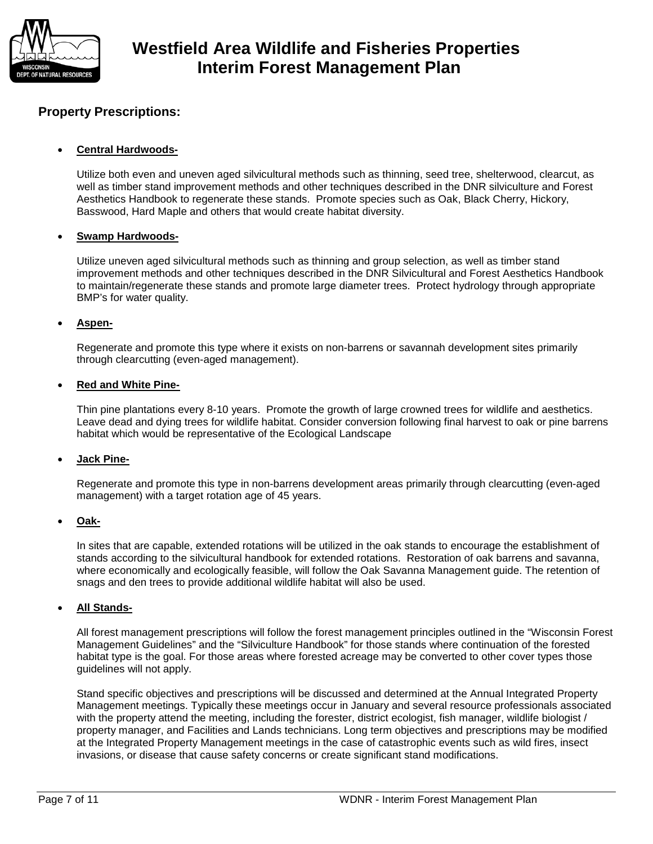

## **Property Prescriptions:**

#### • **Central Hardwoods-**

Utilize both even and uneven aged silvicultural methods such as thinning, seed tree, shelterwood, clearcut, as well as timber stand improvement methods and other techniques described in the DNR silviculture and Forest Aesthetics Handbook to regenerate these stands. Promote species such as Oak, Black Cherry, Hickory, Basswood, Hard Maple and others that would create habitat diversity.

#### • **Swamp Hardwoods-**

Utilize uneven aged silvicultural methods such as thinning and group selection, as well as timber stand improvement methods and other techniques described in the DNR Silvicultural and Forest Aesthetics Handbook to maintain/regenerate these stands and promote large diameter trees. Protect hydrology through appropriate BMP's for water quality.

#### • **Aspen-**

Regenerate and promote this type where it exists on non-barrens or savannah development sites primarily through clearcutting (even-aged management).

#### • **Red and White Pine-**

Thin pine plantations every 8-10 years. Promote the growth of large crowned trees for wildlife and aesthetics. Leave dead and dying trees for wildlife habitat. Consider conversion following final harvest to oak or pine barrens habitat which would be representative of the Ecological Landscape

#### • **Jack Pine-**

Regenerate and promote this type in non-barrens development areas primarily through clearcutting (even-aged management) with a target rotation age of 45 years.

#### • **Oak-**

In sites that are capable, extended rotations will be utilized in the oak stands to encourage the establishment of stands according to the silvicultural handbook for extended rotations. Restoration of oak barrens and savanna, where economically and ecologically feasible, will follow the Oak Savanna Management guide. The retention of snags and den trees to provide additional wildlife habitat will also be used.

#### • **All Stands-**

All forest management prescriptions will follow the forest management principles outlined in the "Wisconsin Forest Management Guidelines" and the "Silviculture Handbook" for those stands where continuation of the forested habitat type is the goal. For those areas where forested acreage may be converted to other cover types those guidelines will not apply.

Stand specific objectives and prescriptions will be discussed and determined at the Annual Integrated Property Management meetings. Typically these meetings occur in January and several resource professionals associated with the property attend the meeting, including the forester, district ecologist, fish manager, wildlife biologist / property manager, and Facilities and Lands technicians. Long term objectives and prescriptions may be modified at the Integrated Property Management meetings in the case of catastrophic events such as wild fires, insect invasions, or disease that cause safety concerns or create significant stand modifications.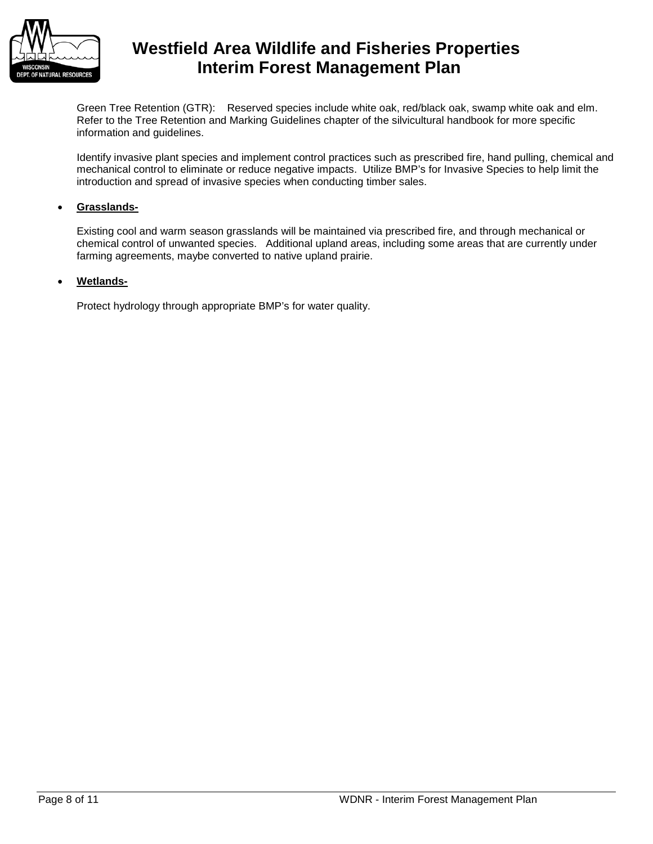

Green Tree Retention (GTR): Reserved species include white oak, red/black oak, swamp white oak and elm. Refer to the Tree Retention and Marking Guidelines chapter of the silvicultural handbook for more specific information and guidelines.

Identify invasive plant species and implement control practices such as prescribed fire, hand pulling, chemical and mechanical control to eliminate or reduce negative impacts. Utilize BMP's for Invasive Species to help limit the introduction and spread of invasive species when conducting timber sales.

#### • **Grasslands-**

Existing cool and warm season grasslands will be maintained via prescribed fire, and through mechanical or chemical control of unwanted species. Additional upland areas, including some areas that are currently under farming agreements, maybe converted to native upland prairie.

#### • **Wetlands-**

Protect hydrology through appropriate BMP's for water quality.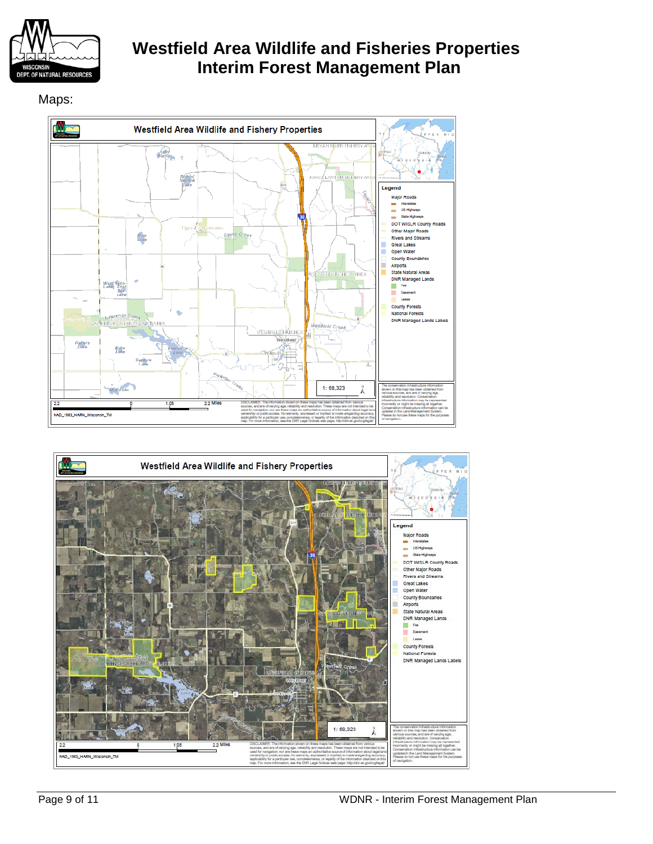

## Maps:



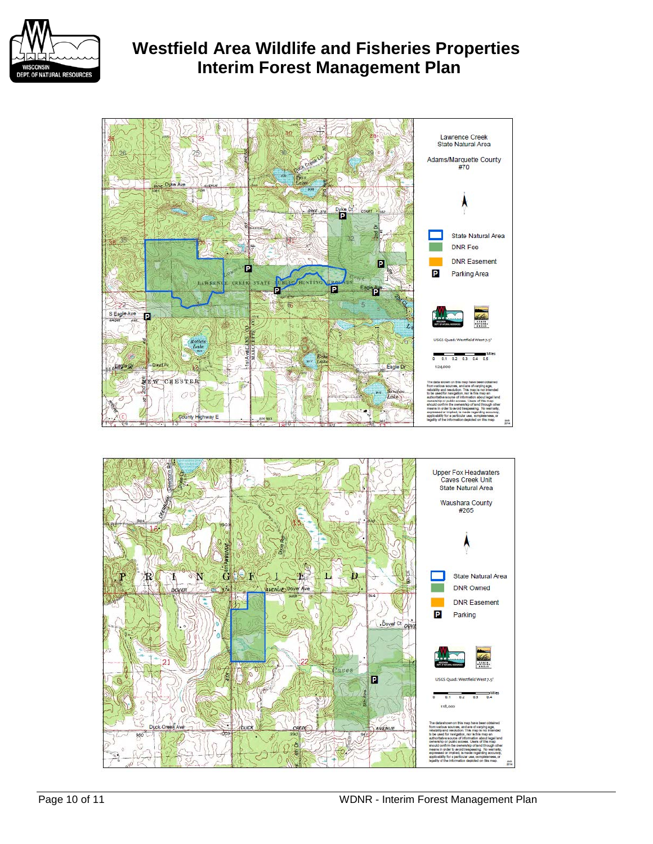